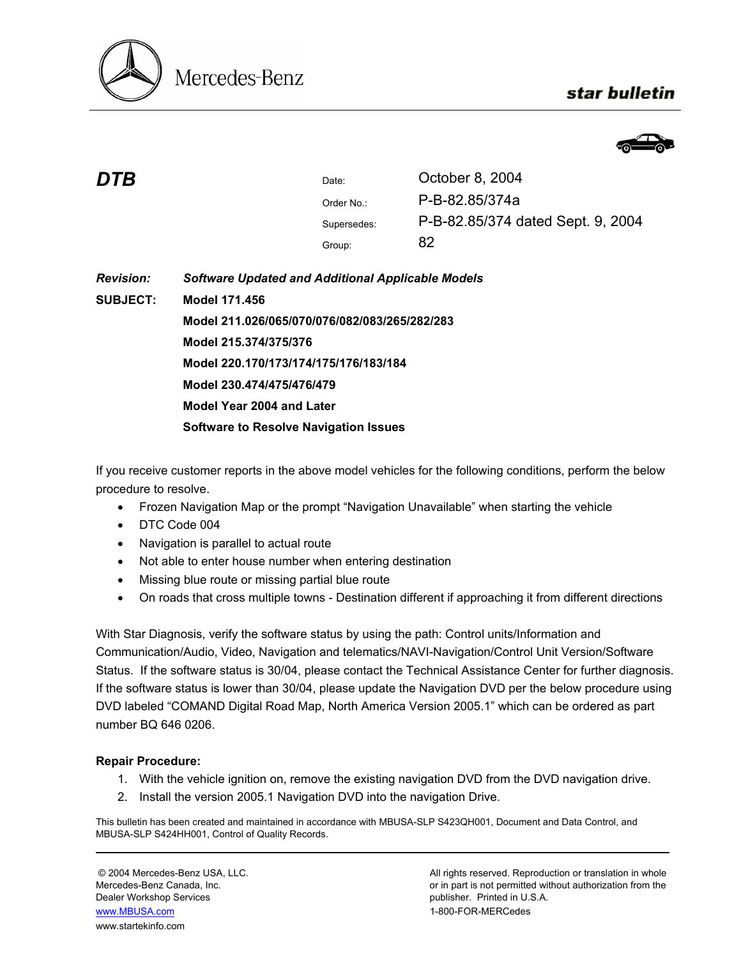

## star bulletin



| DTB              |                                                          | Date:       | October 8, 2004                   |  |  |
|------------------|----------------------------------------------------------|-------------|-----------------------------------|--|--|
|                  |                                                          | Order No.:  | P-B-82.85/374a                    |  |  |
|                  |                                                          | Supersedes: | P-B-82.85/374 dated Sept. 9, 2004 |  |  |
|                  |                                                          | Group:      | 82                                |  |  |
| <b>Revision:</b> | <b>Software Updated and Additional Applicable Models</b> |             |                                   |  |  |
| <b>SUBJECT:</b>  | Model 171.456                                            |             |                                   |  |  |
|                  | Model 211.026/065/070/076/082/083/265/282/283            |             |                                   |  |  |
|                  | Model 215.374/375/376                                    |             |                                   |  |  |
|                  | Model 220.170/173/174/175/176/183/184                    |             |                                   |  |  |
|                  | Model 230.474/475/476/479                                |             |                                   |  |  |
|                  | Model Year 2004 and Later                                |             |                                   |  |  |
|                  | <b>Software to Resolve Navigation Issues</b>             |             |                                   |  |  |

If you receive customer reports in the above model vehicles for the following conditions, perform the below procedure to resolve.

- Frozen Navigation Map or the prompt "Navigation Unavailable" when starting the vehicle
- DTC Code 004
- Navigation is parallel to actual route
- Not able to enter house number when entering destination
- Missing blue route or missing partial blue route
- On roads that cross multiple towns Destination different if approaching it from different directions

With Star Diagnosis, verify the software status by using the path: Control units/Information and Communication/Audio, Video, Navigation and telematics/NAVI-Navigation/Control Unit Version/Software Status. If the software status is 30/04, please contact the Technical Assistance Center for further diagnosis. If the software status is lower than 30/04, please update the Navigation DVD per the below procedure using DVD labeled "COMAND Digital Road Map, North America Version 2005.1" which can be ordered as part number BQ 646 0206.

## **Repair Procedure:**

- 1. With the vehicle ignition on, remove the existing navigation DVD from the DVD navigation drive.
- 2. Install the version 2005.1 Navigation DVD into the navigation Drive.

This bulletin has been created and maintained in accordance with MBUSA-SLP S423QH001, Document and Data Control, and MBUSA-SLP S424HH001, Control of Quality Records.

Dealer Workshop Services publisher. Printed in U.S.A. www.MBUSA.com 1-800-FOR-MERCedes www.startekinfo.com

© 2004 Mercedes-Benz USA, LLC. All rights reserved. Reproduction or translation in whole Mercedes-Benz Canada, Inc. **or in part is not permitted without authorization from the** or in part is not permitted without authorization from the